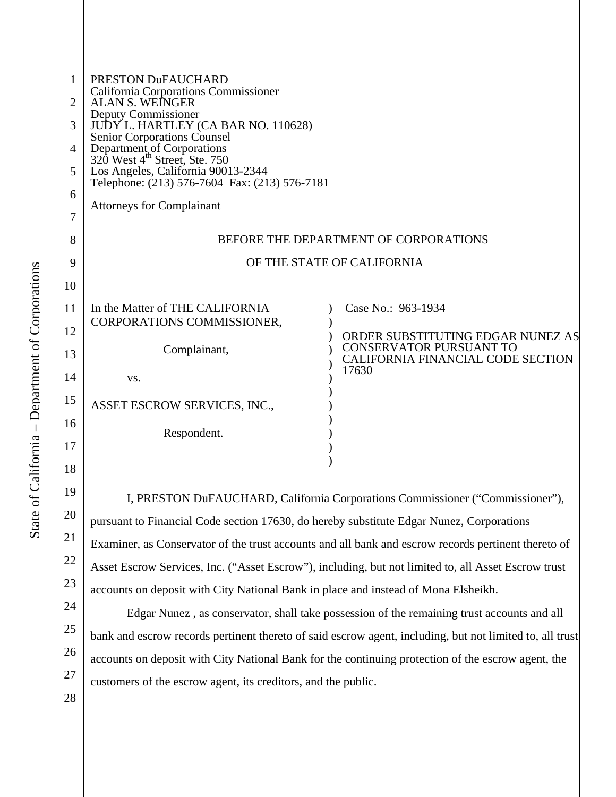| PRESTON DuFAUCHARD<br>California Corporations Commissioner<br><b>ALAN S. WEINGER</b><br>Deputy Commissioner<br>JUDY L. HARTLEY (CA BAR NO. 110628)<br><b>Senior Corporations Counsel</b><br>Department of Corporations<br>320 West 4 <sup>th</sup> Street, Ste. 750<br>Los Angeles, California 90013-2344<br>Telephone: (213) 576-7604 Fax: (213) 576-7181<br><b>Attorneys for Complainant</b><br>BEFORE THE DEPARTMENT OF CORPORATIONS<br>OF THE STATE OF CALIFORNIA<br>In the Matter of THE CALIFORNIA<br>Case No.: 963-1934<br>CORPORATIONS COMMISSIONER,<br>ORDER SUBSTITUTING EDGAR NUNEZ AS<br>CONSERVATOR PURSUANT TO<br>Complainant,<br>CALIFORNIA FINANCIAL CODE SECTION<br>17630<br>VS.<br>ASSET ESCROW SERVICES, INC.,<br>Respondent. |  |
|--------------------------------------------------------------------------------------------------------------------------------------------------------------------------------------------------------------------------------------------------------------------------------------------------------------------------------------------------------------------------------------------------------------------------------------------------------------------------------------------------------------------------------------------------------------------------------------------------------------------------------------------------------------------------------------------------------------------------------------------------|--|
|                                                                                                                                                                                                                                                                                                                                                                                                                                                                                                                                                                                                                                                                                                                                                  |  |
|                                                                                                                                                                                                                                                                                                                                                                                                                                                                                                                                                                                                                                                                                                                                                  |  |
|                                                                                                                                                                                                                                                                                                                                                                                                                                                                                                                                                                                                                                                                                                                                                  |  |
|                                                                                                                                                                                                                                                                                                                                                                                                                                                                                                                                                                                                                                                                                                                                                  |  |
|                                                                                                                                                                                                                                                                                                                                                                                                                                                                                                                                                                                                                                                                                                                                                  |  |
|                                                                                                                                                                                                                                                                                                                                                                                                                                                                                                                                                                                                                                                                                                                                                  |  |
|                                                                                                                                                                                                                                                                                                                                                                                                                                                                                                                                                                                                                                                                                                                                                  |  |
|                                                                                                                                                                                                                                                                                                                                                                                                                                                                                                                                                                                                                                                                                                                                                  |  |
|                                                                                                                                                                                                                                                                                                                                                                                                                                                                                                                                                                                                                                                                                                                                                  |  |
|                                                                                                                                                                                                                                                                                                                                                                                                                                                                                                                                                                                                                                                                                                                                                  |  |
|                                                                                                                                                                                                                                                                                                                                                                                                                                                                                                                                                                                                                                                                                                                                                  |  |
|                                                                                                                                                                                                                                                                                                                                                                                                                                                                                                                                                                                                                                                                                                                                                  |  |
|                                                                                                                                                                                                                                                                                                                                                                                                                                                                                                                                                                                                                                                                                                                                                  |  |
|                                                                                                                                                                                                                                                                                                                                                                                                                                                                                                                                                                                                                                                                                                                                                  |  |
|                                                                                                                                                                                                                                                                                                                                                                                                                                                                                                                                                                                                                                                                                                                                                  |  |
|                                                                                                                                                                                                                                                                                                                                                                                                                                                                                                                                                                                                                                                                                                                                                  |  |
|                                                                                                                                                                                                                                                                                                                                                                                                                                                                                                                                                                                                                                                                                                                                                  |  |
|                                                                                                                                                                                                                                                                                                                                                                                                                                                                                                                                                                                                                                                                                                                                                  |  |
|                                                                                                                                                                                                                                                                                                                                                                                                                                                                                                                                                                                                                                                                                                                                                  |  |
|                                                                                                                                                                                                                                                                                                                                                                                                                                                                                                                                                                                                                                                                                                                                                  |  |
|                                                                                                                                                                                                                                                                                                                                                                                                                                                                                                                                                                                                                                                                                                                                                  |  |

DuFAUCHARD, California Corporations Commissioner ("Commissioner") pursuant to Financial Code section 17630, do hereby substitute Edgar Nunez, Corporations Examiner, as Conservator of the trust accounts and all bank and escrow records pertinent thereto of Asset Escrow Services, Inc. ("Asset Escrow"), including, but not limited to, all Asset Escrow trust accounts on deposit with City National Bank in place and instead of Mona Elsheikh.

Edgar Nunez , as conservator, shall take possession of the remaining trust accounts and all bank and escrow records pertinent thereto of said escrow agent, including, but not limited to, all trust accounts on deposit with City National Bank for the continuing protection of the escrow agent, the customers of the escrow agent, its creditors, and the public.

20

21

22

23

24

25

26

27

28